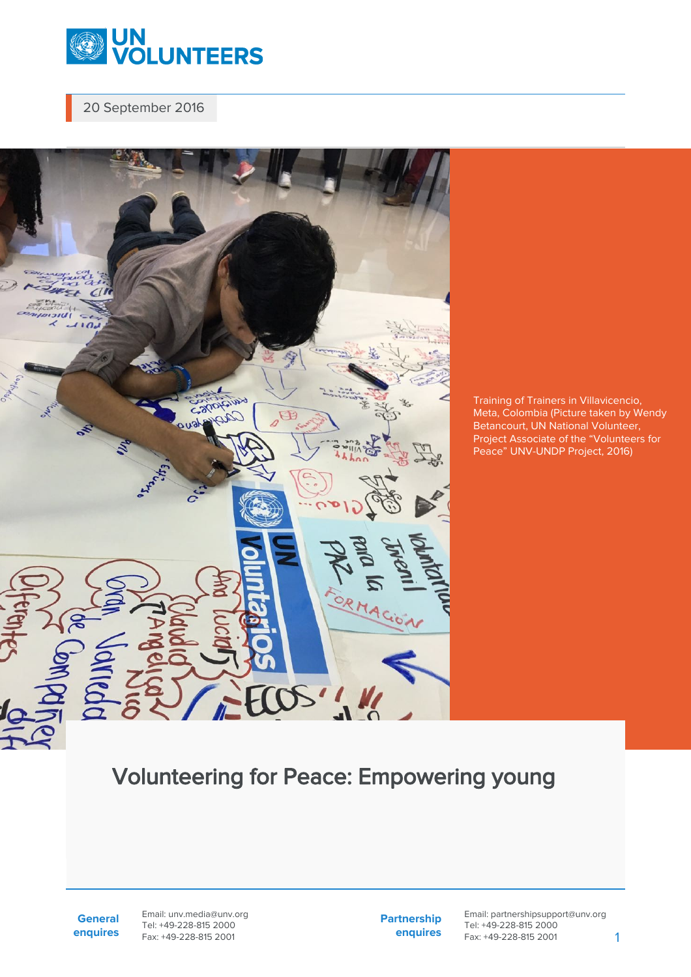

20 September 2016



Training of Trainers in Villavicencio, Meta, Colombia (Picture taken by Wendy Betancourt, UN National Volunteer, Project Associate of the "Volunteers for Peace" UNV-UNDP Project, 2016)

## Volunteering for Peace: Empowering young

**General enquires** Email: unv.media@unv.org Tel: +49-228-815 2000 Fax: +49-228-815 2001

**Partnership enquires** Email: partnershipsupport@unv.org Tel: +49-228-815 2000 Fax: +49-228-815 2001 1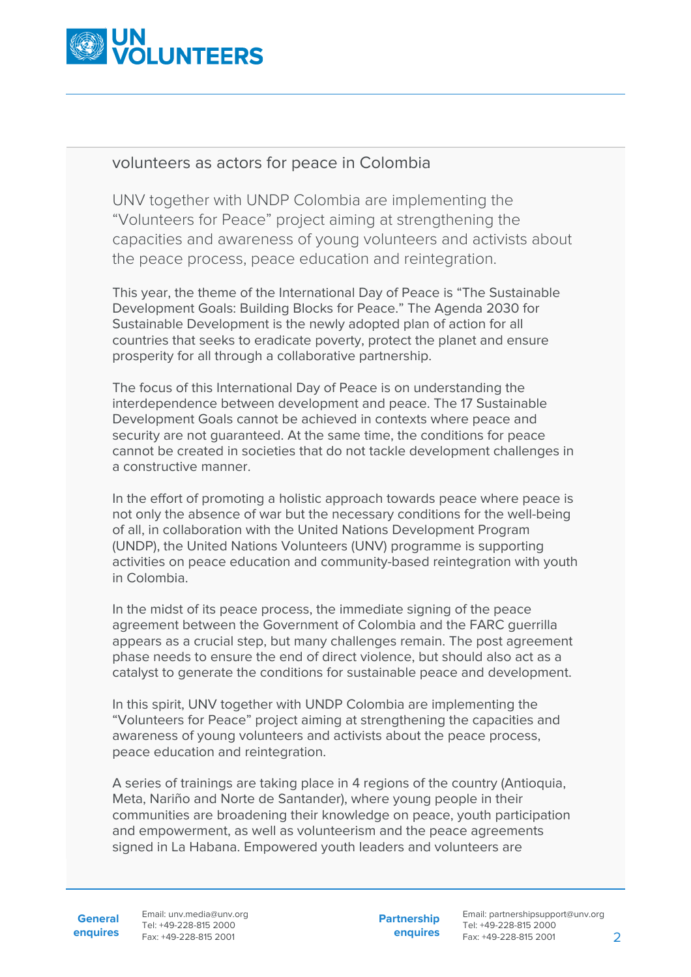

## volunteers as actors for peace in Colombia

UNV together with UNDP Colombia are implementing the "Volunteers for Peace" project aiming at strengthening the capacities and awareness of young volunteers and activists about the peace process, peace education and reintegration.

This year, the theme of the International Day of Peace is "The Sustainable Development Goals: Building Blocks for Peace." The Agenda 2030 for Sustainable Development is the newly adopted plan of action for all countries that seeks to eradicate poverty, protect the planet and ensure prosperity for all through a collaborative partnership.

The focus of this International Day of Peace is on understanding the interdependence between development and peace. The 17 Sustainable Development Goals cannot be achieved in contexts where peace and security are not guaranteed. At the same time, the conditions for peace cannot be created in societies that do not tackle development challenges in a constructive manner.

In the effort of promoting a holistic approach towards peace where peace is not only the absence of war but the necessary conditions for the well-being of all, in collaboration with the United Nations Development Program (UNDP), the United Nations Volunteers (UNV) programme is supporting activities on peace education and community-based reintegration with youth in Colombia.

In the midst of its peace process, the immediate signing of the peace agreement between the Government of Colombia and the FARC guerrilla appears as a crucial step, but many challenges remain. The post agreement phase needs to ensure the end of direct violence, but should also act as a catalyst to generate the conditions for sustainable peace and development.

In this spirit, UNV together with UNDP Colombia are implementing the "Volunteers for Peace" project aiming at strengthening the capacities and awareness of young volunteers and activists about the peace process, peace education and reintegration.

A series of trainings are taking place in 4 regions of the country (Antioquia, Meta, Nariño and Norte de Santander), where young people in their communities are broadening their knowledge on peace, youth participation and empowerment, as well as volunteerism and the peace agreements signed in La Habana. Empowered youth leaders and volunteers are

General Email: unv.media@unv.org **enquires** Fax: +49-228-815 2001 Tel: +49-228-815 2000

**Partnership enquires**

Email: partnershipsupport@unv.org Tel: +49-228-815 2000 Fax: +49-228-815 2001 2